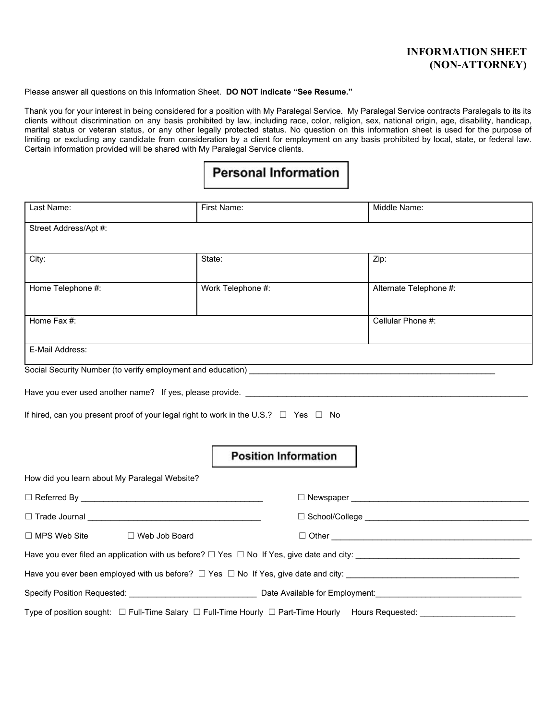#### **INFORMATION SHEET (NON-ATTORNEY)**

Please answer all questions on this Information Sheet. **DO NOT indicate "See Resume."**

Thank you for your interest in being considered for a position with My Paralegal Service. My Paralegal Service contracts Paralegals to its its clients without discrimination on any basis prohibited by law, including race, color, religion, sex, national origin, age, disability, handicap, marital status or veteran status, or any other legally protected status. No question on this information sheet is used for the purpose of limiting or excluding any candidate from consideration by a client for employment on any basis prohibited by local, state, or federal law. Certain information provided will be shared with My Paralegal Service clients.

# **Personal Information**

| Last Name:                                                                                                     | First Name:                 | Middle Name:           |  |
|----------------------------------------------------------------------------------------------------------------|-----------------------------|------------------------|--|
| Street Address/Apt #:                                                                                          |                             |                        |  |
|                                                                                                                |                             |                        |  |
| City:                                                                                                          | State:                      | Zip:                   |  |
| Home Telephone #:                                                                                              | Work Telephone #:           | Alternate Telephone #: |  |
| Home Fax #:                                                                                                    |                             | Cellular Phone #:      |  |
| E-Mail Address:                                                                                                |                             |                        |  |
| Social Security Number (to verify employment and education) [1986] [1986] [1986] [1986] [1986] [1986] [1986] [ |                             |                        |  |
| Have you ever used another name? If yes, please provide. Letter and the state of the state of the state of the |                             |                        |  |
|                                                                                                                |                             |                        |  |
| If hired, can you present proof of your legal right to work in the U.S.? $\Box$ Yes $\Box$ No                  |                             |                        |  |
|                                                                                                                |                             |                        |  |
|                                                                                                                | <b>Position Information</b> |                        |  |
| How did you learn about My Paralegal Website?                                                                  |                             |                        |  |
| $\Box$ Referred By $\Box$                                                                                      |                             |                        |  |
|                                                                                                                |                             |                        |  |
| $\Box$ MPS Web Site<br>$\Box$ Web Job Board                                                                    |                             |                        |  |
|                                                                                                                |                             |                        |  |
| Have you ever been employed with us before? $\Box$ Yes $\Box$ No If Yes, give date and city:                   |                             |                        |  |
|                                                                                                                |                             |                        |  |
| Type of position sought: □ Full-Time Salary □ Full-Time Hourly □ Part-Time Hourly Hours Requested:             |                             |                        |  |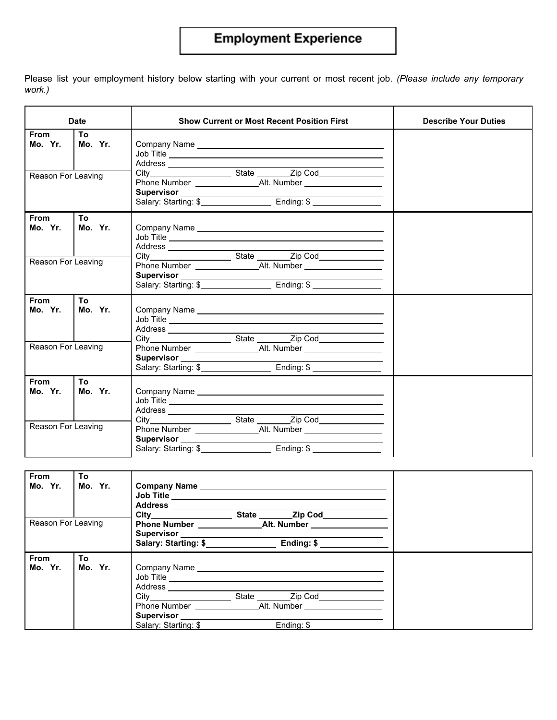## **Employment Experience**

Please list your employment history below starting with your current or most recent job. *(Please include any temporary work.)*

|                                              | <b>Date</b>    | <b>Show Current or Most Recent Position First</b> | <b>Describe Your Duties</b> |
|----------------------------------------------|----------------|---------------------------------------------------|-----------------------------|
| <b>From</b><br>Mo. Yr.<br>Reason For Leaving | To<br>Mo. Yr.  | Job Title<br>Salary: Starting: \$                 |                             |
| From<br>Mo. Yr.<br>Reason For Leaving        | To.<br>Mo. Yr. | Job Title                                         |                             |
|                                              |                |                                                   |                             |
| From<br>Mo. Yr.                              | Τo<br>Mo. Yr.  | Job Title                                         |                             |
| Reason For Leaving                           |                | Salary: Starting: \$                              |                             |
| <b>From</b><br>Mo. Yr.                       | To<br>Mo. Yr.  | Job Title<br>Address __________________           |                             |
| Reason For Leaving                           |                | Salary: Starting: \$                              |                             |

| From<br>Mo. Yr.<br>Reason For Leaving | To<br>Mo. Yr. | Company Name Manual Company Name<br>Address ______________________<br>City State Zip Cod<br>Salary: Starting: \$                                                                         |  |
|---------------------------------------|---------------|------------------------------------------------------------------------------------------------------------------------------------------------------------------------------------------|--|
| From<br>Mo. Yr.                       | To<br>Mo. Yr. | Address _______________<br>State ___________ Zip Cod________________<br>Phone Number Alt. Number Alternative Alt. Number<br>Supervisor  __________<br>Salary: Starting: \$<br>Ending: \$ |  |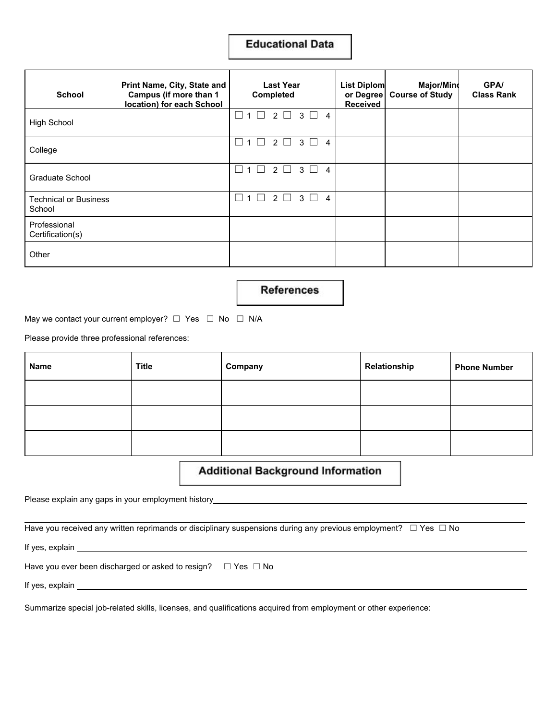#### **Educational Data**

| <b>School</b>                    | Print Name, City, State and<br>Campus (if more than 1<br>location) for each School | <b>Last Year</b><br><b>Completed</b>                                          | <b>List Diplom</b><br>or Degree<br><b>Received</b> | <b>Major/Mind</b><br><b>Course of Study</b> | <b>GPA/</b><br><b>Class Rank</b> |
|----------------------------------|------------------------------------------------------------------------------------|-------------------------------------------------------------------------------|----------------------------------------------------|---------------------------------------------|----------------------------------|
| <b>High School</b>               |                                                                                    | П<br>1 1 2 1<br>$3 \Box 4$                                                    |                                                    |                                             |                                  |
| College                          |                                                                                    | П<br>$2\Box$<br>$\mathbf{3}$<br>$\blacksquare$<br>$\overline{4}$<br>$1 \mid$  |                                                    |                                             |                                  |
| Graduate School                  |                                                                                    | $\overline{2}$<br>3<br>$\overline{1}$<br>$\Box$<br>$\overline{4}$<br>$\perp$  |                                                    |                                             |                                  |
| Technical or Business<br>School  |                                                                                    | $\Box$<br>2 □<br>$\mathbf{3}$<br>$1 \mid$<br>$\overline{4}$<br>$\blacksquare$ |                                                    |                                             |                                  |
| Professional<br>Certification(s) |                                                                                    |                                                                               |                                                    |                                             |                                  |
| Other                            |                                                                                    |                                                                               |                                                    |                                             |                                  |

**References** 

May we contact your current employer?  $□$  Yes  $□$  No  $□$  N/A

Please provide three professional references:

| Name | <b>Title</b> | Company | Relationship | <b>Phone Number</b> |
|------|--------------|---------|--------------|---------------------|
|      |              |         |              |                     |
|      |              |         |              |                     |
|      |              |         |              |                     |

#### **Additional Background Information**

Please explain any gaps in your employment history *multimense explain any gaps* in your employment history

Have you received any written reprimands or disciplinary suspensions during any previous employment? □ Yes □ No

If yes, explain \_\_

Have you ever been discharged or asked to resign?  $□$  Yes  $□$  No

If yes, explain \_

Summarize special job-related skills, licenses, and qualifications acquired from employment or other experience: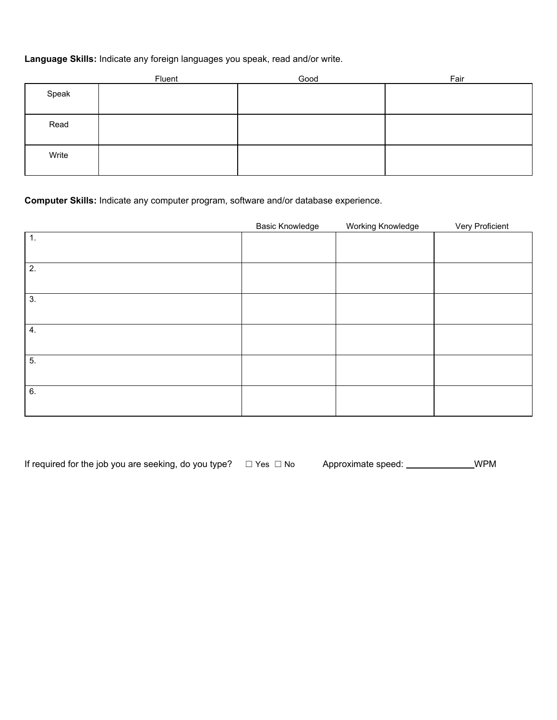#### **Language Skills:** Indicate any foreign languages you speak, read and/or write.

|       | Fluent | Good | Fair |
|-------|--------|------|------|
| Speak |        |      |      |
| Read  |        |      |      |
| Write |        |      |      |

#### **Computer Skills:** Indicate any computer program, software and/or database experience.

|    | <b>Basic Knowledge</b> | Working Knowledge | Very Proficient |
|----|------------------------|-------------------|-----------------|
| 1. |                        |                   |                 |
|    |                        |                   |                 |
| 2. |                        |                   |                 |
|    |                        |                   |                 |
| 3. |                        |                   |                 |
|    |                        |                   |                 |
| 4. |                        |                   |                 |
|    |                        |                   |                 |
| 5. |                        |                   |                 |
|    |                        |                   |                 |
| 6. |                        |                   |                 |
|    |                        |                   |                 |

| If required for the job you are seeking, do you type? $\Box$ Yes $\Box$ No |  | Approximate speed: | WPM |
|----------------------------------------------------------------------------|--|--------------------|-----|
|----------------------------------------------------------------------------|--|--------------------|-----|